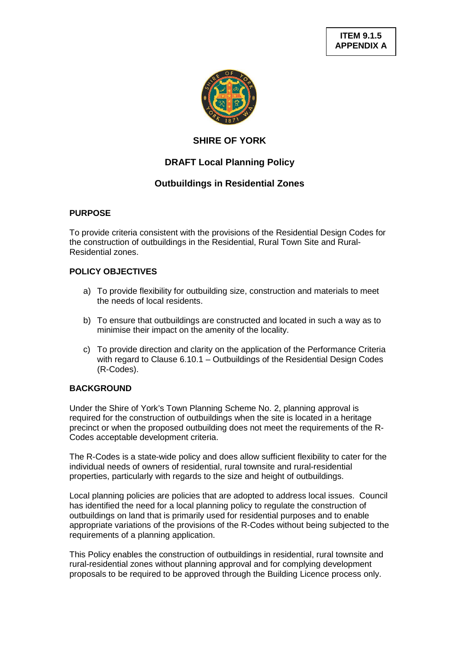

# **SHIRE OF YORK**

# **DRAFT Local Planning Policy**

# **Outbuildings in Residential Zones**

# **PURPOSE**

To provide criteria consistent with the provisions of the Residential Design Codes for the construction of outbuildings in the Residential, Rural Town Site and Rural-Residential zones.

# **POLICY OBJECTIVES**

- a) To provide flexibility for outbuilding size, construction and materials to meet the needs of local residents.
- b) To ensure that outbuildings are constructed and located in such a way as to minimise their impact on the amenity of the locality.
- c) To provide direction and clarity on the application of the Performance Criteria with regard to Clause 6.10.1 – Outbuildings of the Residential Design Codes (R-Codes).

# **BACKGROUND**

Under the Shire of York's Town Planning Scheme No. 2, planning approval is required for the construction of outbuildings when the site is located in a heritage precinct or when the proposed outbuilding does not meet the requirements of the R-Codes acceptable development criteria.

The R-Codes is a state-wide policy and does allow sufficient flexibility to cater for the individual needs of owners of residential, rural townsite and rural-residential properties, particularly with regards to the size and height of outbuildings.

Local planning policies are policies that are adopted to address local issues. Council has identified the need for a local planning policy to regulate the construction of outbuildings on land that is primarily used for residential purposes and to enable appropriate variations of the provisions of the R-Codes without being subjected to the requirements of a planning application.

This Policy enables the construction of outbuildings in residential, rural townsite and rural-residential zones without planning approval and for complying development proposals to be required to be approved through the Building Licence process only.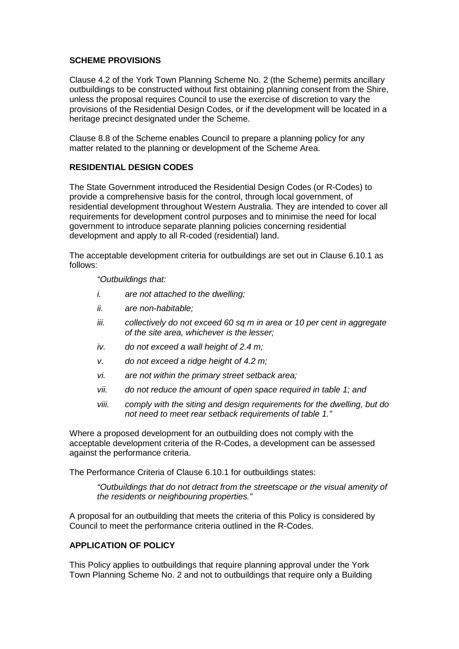#### **SCHEME PROVISIONS**

Clause 4.2 of the York Town Planning Scheme No. 2 (the Scheme) permits ancillary outbuildings to be constructed without first obtaining planning consent from the Shire, unless the proposal requires Council to use the exercise of discretion to vary the provisions of the Residential Design Codes, or if the development will be located in a heritage precinct designated under the Scheme.

Clause 8.8 of the Scheme enables Council to prepare a planning policy for any matter related to the planning or development of the Scheme Area.

### **RESIDENTIAL DESIGN CODES**

The State Government introduced the Residential Design Codes (or R-Codes) to provide a comprehensive basis for the control, through local government, of residential development throughout Western Australia. They are intended to cover all requirements for development control purposes and to minimise the need for local government to introduce separate planning policies concerning residential development and apply to all R-coded (residential) land.

The acceptable development criteria for outbuildings are set out in Clause 6.10.1 as follows:

*"Outbuildings that:*

- *i. are not attached to the dwelling;*
- *ii. are non-habitable;*
- *iii. collectively do not exceed 60 sq m in area or 10 per cent in aggregate of the site area, whichever is the lesser;*
- *iv. do not exceed a wall height of 2.4 m;*
- *v. do not exceed a ridge height of 4.2 m;*
- *vi. are not within the primary street setback area;*
- *vii. do not reduce the amount of open space required in table 1; and*
- *viii. comply with the siting and design requirements for the dwelling, but do not need to meet rear setback requirements of table 1."*

Where a proposed development for an outbuilding does not comply with the acceptable development criteria of the R-Codes, a development can be assessed against the performance criteria.

The Performance Criteria of Clause 6.10.1 for outbuildings states:

*"Outbuildings that do not detract from the streetscape or the visual amenity of the residents or neighbouring properties."*

A proposal for an outbuilding that meets the criteria of this Policy is considered by Council to meet the performance criteria outlined in the R-Codes.

# **APPLICATION OF POLICY**

This Policy applies to outbuildings that require planning approval under the York Town Planning Scheme No. 2 and not to outbuildings that require only a Building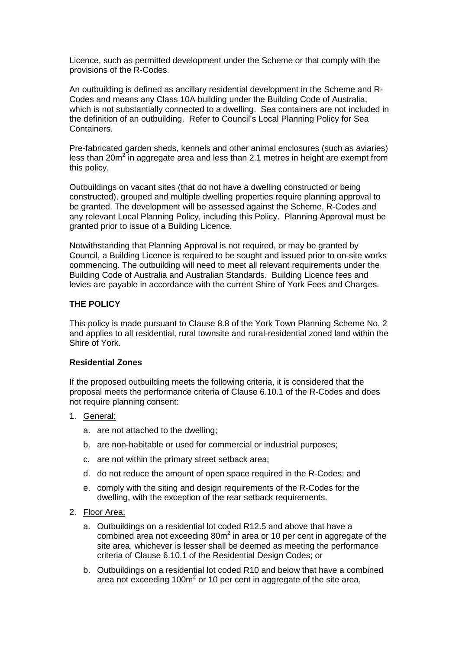Licence, such as permitted development under the Scheme or that comply with the provisions of the R-Codes.

An outbuilding is defined as ancillary residential development in the Scheme and R-Codes and means any Class 10A building under the Building Code of Australia, which is not substantially connected to a dwelling. Sea containers are not included in the definition of an outbuilding. Refer to Council's Local Planning Policy for Sea Containers.

Pre-fabricated garden sheds, kennels and other animal enclosures (such as aviaries) less than 20m<sup>2</sup> in aggregate area and less than 2.1 metres in height are exempt from this policy.

Outbuildings on vacant sites (that do not have a dwelling constructed or being constructed), grouped and multiple dwelling properties require planning approval to be granted. The development will be assessed against the Scheme, R-Codes and any relevant Local Planning Policy, including this Policy. Planning Approval must be granted prior to issue of a Building Licence.

Notwithstanding that Planning Approval is not required, or may be granted by Council, a Building Licence is required to be sought and issued prior to on-site works commencing. The outbuilding will need to meet all relevant requirements under the Building Code of Australia and Australian Standards. Building Licence fees and levies are payable in accordance with the current Shire of York Fees and Charges.

#### **THE POLICY**

This policy is made pursuant to Clause 8.8 of the York Town Planning Scheme No. 2 and applies to all residential, rural townsite and rural-residential zoned land within the Shire of York.

#### **Residential Zones**

If the proposed outbuilding meets the following criteria, it is considered that the proposal meets the performance criteria of Clause 6.10.1 of the R-Codes and does not require planning consent:

- 1. General:
	- a. are not attached to the dwelling;
	- b. are non-habitable or used for commercial or industrial purposes;
	- c. are not within the primary street setback area;
	- d. do not reduce the amount of open space required in the R-Codes; and
	- e. comply with the siting and design requirements of the R-Codes for the dwelling, with the exception of the rear setback requirements.
- 2. Floor Area:
	- a. Outbuildings on a residential lot coded R12.5 and above that have a combined area not exceeding 80m<sup>2</sup> in area or 10 per cent in aggregate of the site area, whichever is lesser shall be deemed as meeting the performance criteria of Clause 6.10.1 of the Residential Design Codes; or
	- b. Outbuildings on a residential lot coded R10 and below that have a combined area not exceeding 100m<sup>2</sup> or 10 per cent in aggregate of the site area,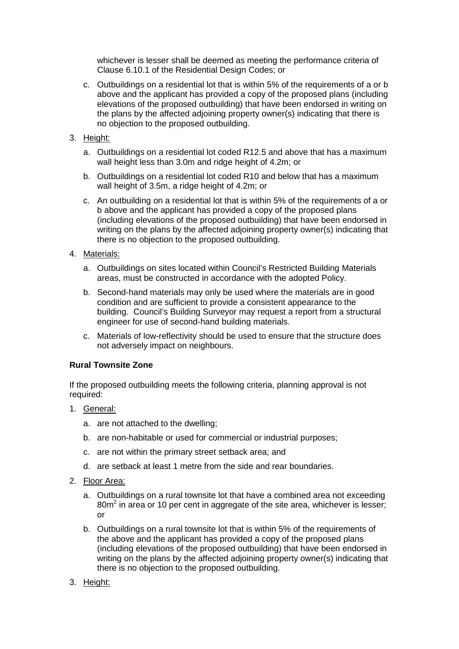whichever is lesser shall be deemed as meeting the performance criteria of Clause 6.10.1 of the Residential Design Codes; or

- c. Outbuildings on a residential lot that is within 5% of the requirements of a or b above and the applicant has provided a copy of the proposed plans (including elevations of the proposed outbuilding) that have been endorsed in writing on the plans by the affected adjoining property owner(s) indicating that there is no objection to the proposed outbuilding.
- 3. Height:
	- a. Outbuildings on a residential lot coded R12.5 and above that has a maximum wall height less than 3.0m and ridge height of 4.2m; or
	- b. Outbuildings on a residential lot coded R10 and below that has a maximum wall height of 3.5m, a ridge height of 4.2m; or
	- c. An outbuilding on a residential lot that is within 5% of the requirements of a or b above and the applicant has provided a copy of the proposed plans (including elevations of the proposed outbuilding) that have been endorsed in writing on the plans by the affected adjoining property owner(s) indicating that there is no objection to the proposed outbuilding.
- 4. Materials:
	- a. Outbuildings on sites located within Council's Restricted Building Materials areas, must be constructed in accordance with the adopted Policy.
	- b. Second-hand materials may only be used where the materials are in good condition and are sufficient to provide a consistent appearance to the building. Council's Building Surveyor may request a report from a structural engineer for use of second-hand building materials.
	- c. Materials of low-reflectivity should be used to ensure that the structure does not adversely impact on neighbours.

# **Rural Townsite Zone**

If the proposed outbuilding meets the following criteria, planning approval is not required:

- 1. General:
	- a. are not attached to the dwelling;
	- b. are non-habitable or used for commercial or industrial purposes;
	- c. are not within the primary street setback area; and
	- d. are setback at least 1 metre from the side and rear boundaries.
- 2. Floor Area:
	- a. Outbuildings on a rural townsite lot that have a combined area not exceeding  $80m<sup>2</sup>$  in area or 10 per cent in aggregate of the site area, whichever is lesser; or
	- b. Outbuildings on a rural townsite lot that is within 5% of the requirements of the above and the applicant has provided a copy of the proposed plans (including elevations of the proposed outbuilding) that have been endorsed in writing on the plans by the affected adjoining property owner(s) indicating that there is no objection to the proposed outbuilding.
- 3. Height: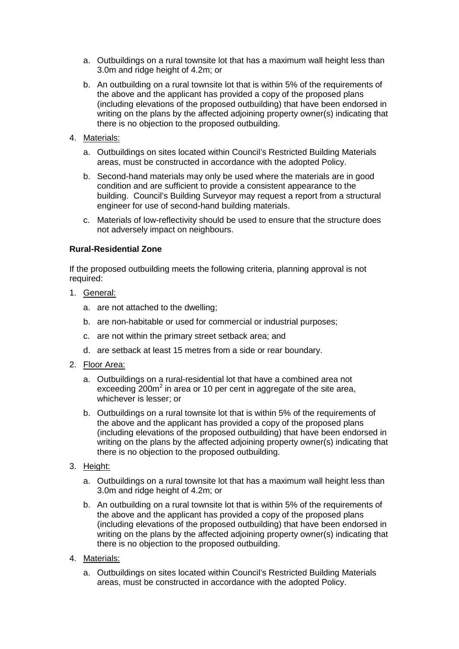- a. Outbuildings on a rural townsite lot that has a maximum wall height less than 3.0m and ridge height of 4.2m; or
- b. An outbuilding on a rural townsite lot that is within 5% of the requirements of the above and the applicant has provided a copy of the proposed plans (including elevations of the proposed outbuilding) that have been endorsed in writing on the plans by the affected adjoining property owner(s) indicating that there is no objection to the proposed outbuilding.
- 4. Materials:
	- a. Outbuildings on sites located within Council's Restricted Building Materials areas, must be constructed in accordance with the adopted Policy.
	- b. Second-hand materials may only be used where the materials are in good condition and are sufficient to provide a consistent appearance to the building. Council's Building Surveyor may request a report from a structural engineer for use of second-hand building materials.
	- c. Materials of low-reflectivity should be used to ensure that the structure does not adversely impact on neighbours.

# **Rural-Residential Zone**

If the proposed outbuilding meets the following criteria, planning approval is not required:

- 1. General:
	- a. are not attached to the dwelling;
	- b. are non-habitable or used for commercial or industrial purposes;
	- c. are not within the primary street setback area; and
	- d. are setback at least 15 metres from a side or rear boundary.
- 2. Floor Area:
	- a. Outbuildings on a rural-residential lot that have a combined area not exceeding 200 $m^2$  in area or 10 per cent in aggregate of the site area, whichever is lesser; or
	- b. Outbuildings on a rural townsite lot that is within 5% of the requirements of the above and the applicant has provided a copy of the proposed plans (including elevations of the proposed outbuilding) that have been endorsed in writing on the plans by the affected adjoining property owner(s) indicating that there is no objection to the proposed outbuilding.
- 3. Height:
	- a. Outbuildings on a rural townsite lot that has a maximum wall height less than 3.0m and ridge height of 4.2m; or
	- b. An outbuilding on a rural townsite lot that is within 5% of the requirements of the above and the applicant has provided a copy of the proposed plans (including elevations of the proposed outbuilding) that have been endorsed in writing on the plans by the affected adjoining property owner(s) indicating that there is no objection to the proposed outbuilding.
- 4. Materials:
	- a. Outbuildings on sites located within Council's Restricted Building Materials areas, must be constructed in accordance with the adopted Policy.